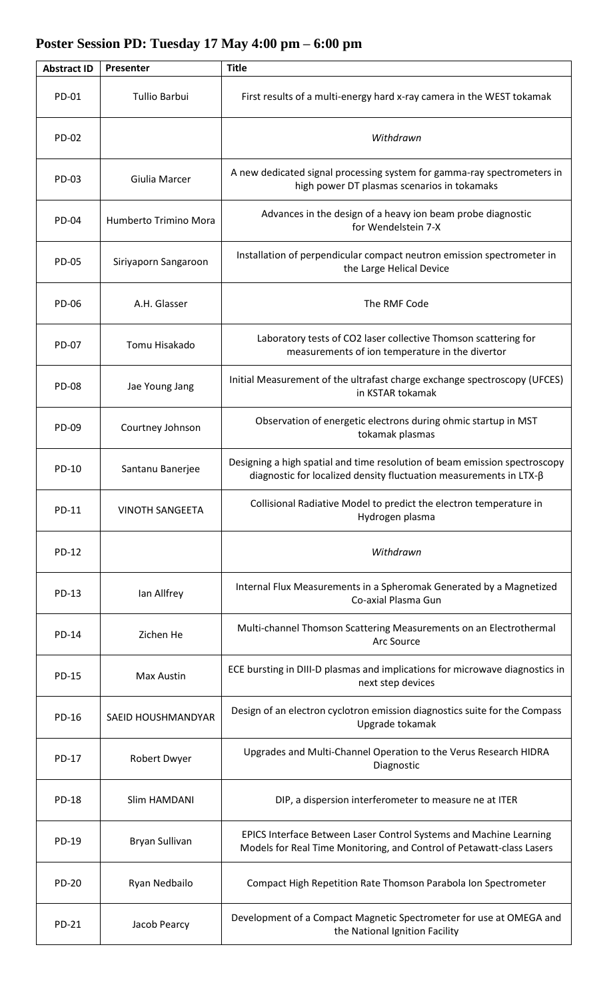| <b>Abstract ID</b> | Presenter             | <b>Title</b>                                                                                                                                            |
|--------------------|-----------------------|---------------------------------------------------------------------------------------------------------------------------------------------------------|
| PD-01              | <b>Tullio Barbui</b>  | First results of a multi-energy hard x-ray camera in the WEST tokamak                                                                                   |
| PD-02              |                       | Withdrawn                                                                                                                                               |
| PD-03              | Giulia Marcer         | A new dedicated signal processing system for gamma-ray spectrometers in<br>high power DT plasmas scenarios in tokamaks                                  |
| PD-04              | Humberto Trimino Mora | Advances in the design of a heavy ion beam probe diagnostic<br>for Wendelstein 7-X                                                                      |
| <b>PD-05</b>       | Siriyaporn Sangaroon  | Installation of perpendicular compact neutron emission spectrometer in<br>the Large Helical Device                                                      |
| <b>PD-06</b>       | A.H. Glasser          | The RMF Code                                                                                                                                            |
| <b>PD-07</b>       | Tomu Hisakado         | Laboratory tests of CO2 laser collective Thomson scattering for<br>measurements of ion temperature in the divertor                                      |
| <b>PD-08</b>       | Jae Young Jang        | Initial Measurement of the ultrafast charge exchange spectroscopy (UFCES)<br>in KSTAR tokamak                                                           |
| PD-09              | Courtney Johnson      | Observation of energetic electrons during ohmic startup in MST<br>tokamak plasmas                                                                       |
| PD-10              | Santanu Banerjee      | Designing a high spatial and time resolution of beam emission spectroscopy<br>diagnostic for localized density fluctuation measurements in LTX- $\beta$ |
| PD-11              | VINOTH SANGEETA       | Collisional Radiative Model to predict the electron temperature in<br>Hydrogen plasma                                                                   |
| PD-12              |                       | Withdrawn                                                                                                                                               |
| PD-13              | lan Allfrey           | Internal Flux Measurements in a Spheromak Generated by a Magnetized<br>Co-axial Plasma Gun                                                              |
| PD-14              | Zichen He             | Multi-channel Thomson Scattering Measurements on an Electrothermal<br>Arc Source                                                                        |
| PD-15              | Max Austin            | ECE bursting in DIII-D plasmas and implications for microwave diagnostics in<br>next step devices                                                       |
| PD-16              | SAEID HOUSHMANDYAR    | Design of an electron cyclotron emission diagnostics suite for the Compass<br>Upgrade tokamak                                                           |
| PD-17              | Robert Dwyer          | Upgrades and Multi-Channel Operation to the Verus Research HIDRA<br>Diagnostic                                                                          |
| <b>PD-18</b>       | Slim HAMDANI          | DIP, a dispersion interferometer to measure ne at ITER                                                                                                  |
| PD-19              | Bryan Sullivan        | EPICS Interface Between Laser Control Systems and Machine Learning<br>Models for Real Time Monitoring, and Control of Petawatt-class Lasers             |
| <b>PD-20</b>       | Ryan Nedbailo         | Compact High Repetition Rate Thomson Parabola Ion Spectrometer                                                                                          |
| PD-21              | Jacob Pearcy          | Development of a Compact Magnetic Spectrometer for use at OMEGA and<br>the National Ignition Facility                                                   |

## **Poster Session PD: Tuesday 17 May 4:00 pm – 6:00 pm**